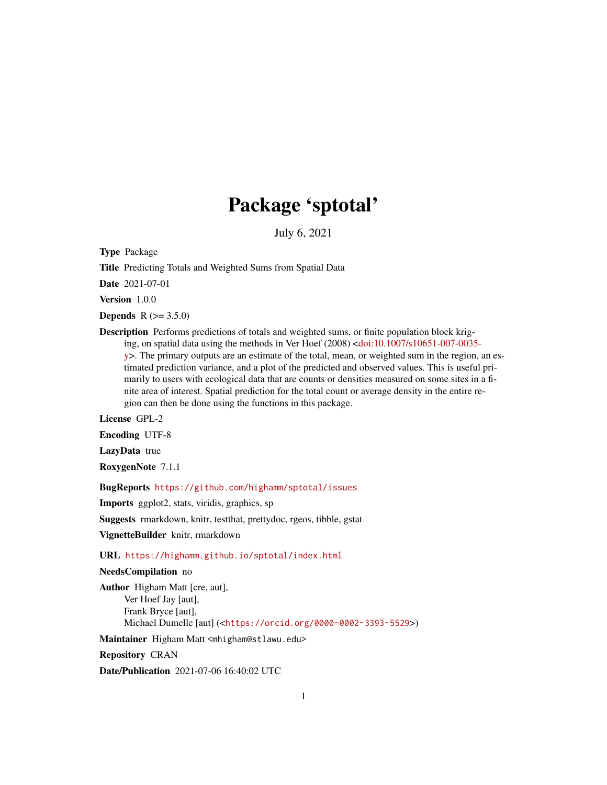# Package 'sptotal'

July 6, 2021

Type Package

Title Predicting Totals and Weighted Sums from Spatial Data

Date 2021-07-01

Version 1.0.0

**Depends** R  $(>= 3.5.0)$ 

Description Performs predictions of totals and weighted sums, or finite population block kriging, on spatial data using the methods in Ver Hoef (2008) [<doi:10.1007/s10651-007-0035](https://doi.org/10.1007/s10651-007-0035-y) [y>](https://doi.org/10.1007/s10651-007-0035-y). The primary outputs are an estimate of the total, mean, or weighted sum in the region, an estimated prediction variance, and a plot of the predicted and observed values. This is useful primarily to users with ecological data that are counts or densities measured on some sites in a finite area of interest. Spatial prediction for the total count or average density in the entire region can then be done using the functions in this package.

License GPL-2

Encoding UTF-8

LazyData true

RoxygenNote 7.1.1

BugReports <https://github.com/highamm/sptotal/issues>

Imports ggplot2, stats, viridis, graphics, sp

Suggests rmarkdown, knitr, testthat, prettydoc, rgeos, tibble, gstat

VignetteBuilder knitr, rmarkdown

URL <https://highamm.github.io/sptotal/index.html>

#### NeedsCompilation no

Author Higham Matt [cre, aut], Ver Hoef Jay [aut], Frank Bryce [aut], Michael Dumelle [aut] (<<https://orcid.org/0000-0002-3393-5529>>)

Maintainer Higham Matt <mhigham@stlawu.edu>

Repository CRAN

Date/Publication 2021-07-06 16:40:02 UTC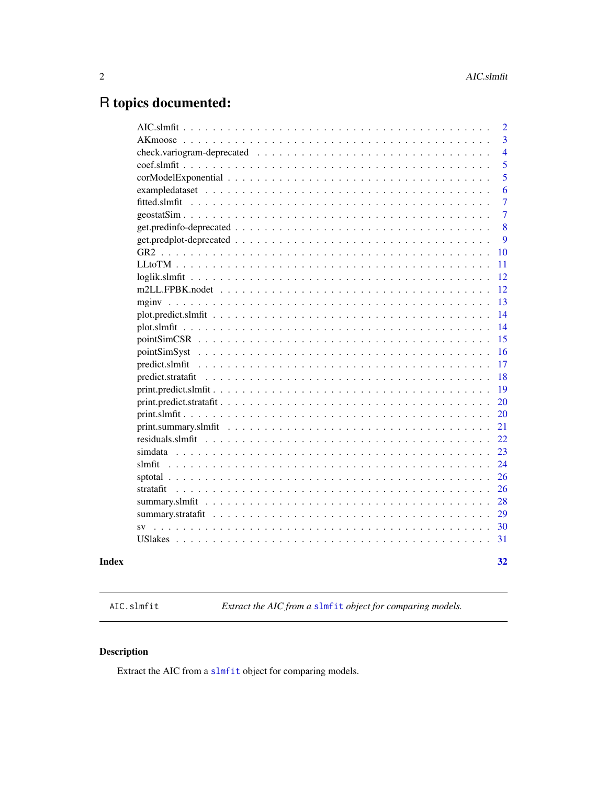## <span id="page-1-0"></span>R topics documented:

|           |  | 2              |
|-----------|--|----------------|
|           |  | 3              |
|           |  | $\overline{4}$ |
|           |  | 5              |
|           |  | 5              |
|           |  | 6              |
|           |  | 7              |
|           |  | $\overline{7}$ |
|           |  | 8              |
|           |  | 9              |
|           |  | 10             |
|           |  | 11             |
|           |  | 12             |
|           |  | 12             |
|           |  | 13             |
|           |  | 14             |
|           |  | 14             |
|           |  | 15             |
|           |  | 16             |
|           |  | 17             |
|           |  | 18             |
|           |  | 19             |
|           |  | 20             |
|           |  | 20             |
|           |  | 21             |
|           |  | 22             |
|           |  | 23             |
|           |  | 24             |
|           |  | 26             |
|           |  | 26             |
|           |  | 28             |
|           |  | 29             |
| <b>SV</b> |  | 30             |
|           |  | 31             |
|           |  |                |

#### **Index** [32](#page-31-0)

AIC.slmfit *Extract the AIC from a* [slmfit](#page-23-1) *object for comparing models.*

## Description

Extract the AIC from a [slmfit](#page-23-1) object for comparing models.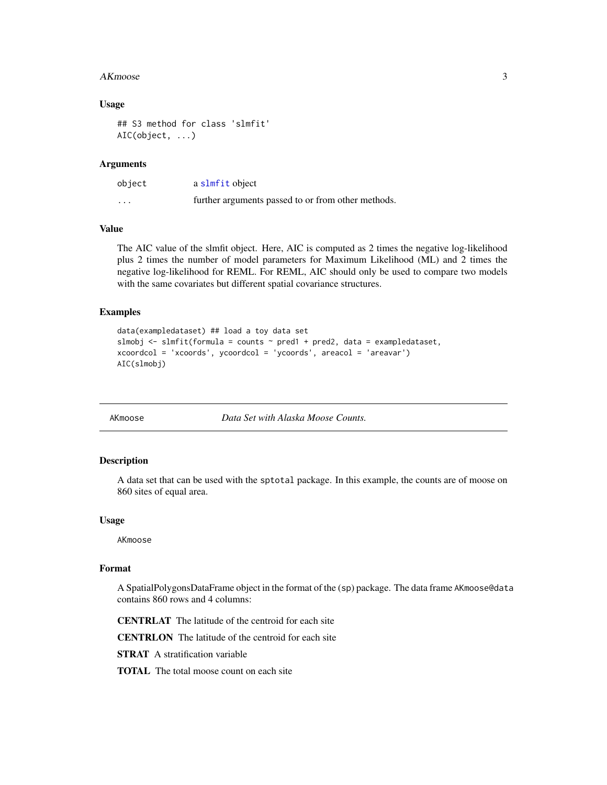#### <span id="page-2-0"></span> $AKmoose$  3

#### Usage

```
## S3 method for class 'slmfit'
AIC(object, ...)
```
#### Arguments

| object                  | a slmfit object                                    |
|-------------------------|----------------------------------------------------|
| $\cdot$ $\cdot$ $\cdot$ | further arguments passed to or from other methods. |

#### Value

The AIC value of the slmfit object. Here, AIC is computed as 2 times the negative log-likelihood plus 2 times the number of model parameters for Maximum Likelihood (ML) and 2 times the negative log-likelihood for REML. For REML, AIC should only be used to compare two models with the same covariates but different spatial covariance structures.

#### Examples

```
data(exampledataset) ## load a toy data set
slmobj <- slmfit(formula = counts \sim pred1 + pred2, data = exampledataset,
xcoordcol = 'xcoords', ycoordcol = 'ycoords', areacol = 'areavar')
AIC(slmobj)
```
AKmoose *Data Set with Alaska Moose Counts.*

#### Description

A data set that can be used with the sptotal package. In this example, the counts are of moose on 860 sites of equal area.

#### Usage

AKmoose

#### Format

A SpatialPolygonsDataFrame object in the format of the (sp) package. The data frame AKmoose@data contains 860 rows and 4 columns:

CENTRLAT The latitude of the centroid for each site

CENTRLON The latitude of the centroid for each site

**STRAT** A stratification variable

TOTAL The total moose count on each site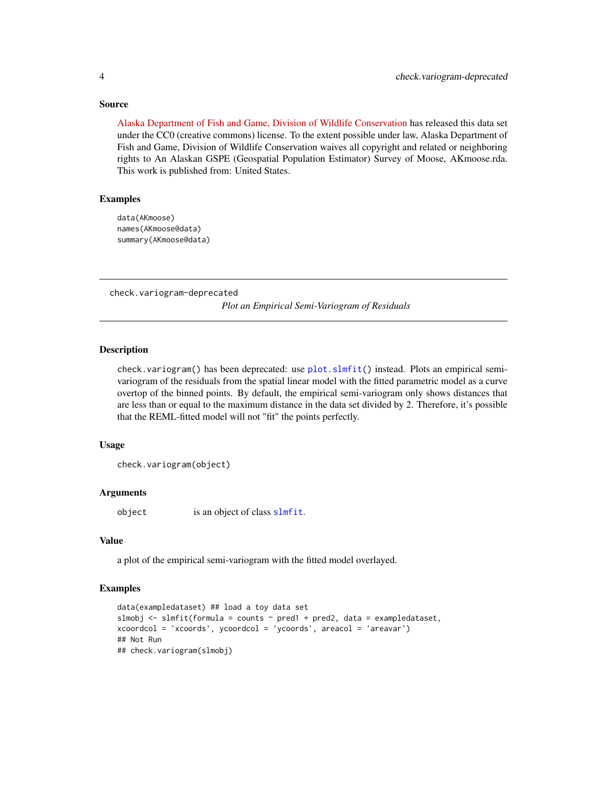#### Source

[Alaska Department of Fish and Game, Division of Wildlife Conservation](http://www.adfg.alaska.gov/index.cfm?adfg=hunting.main) has released this data set under the CC0 (creative commons) license. To the extent possible under law, Alaska Department of Fish and Game, Division of Wildlife Conservation waives all copyright and related or neighboring rights to An Alaskan GSPE (Geospatial Population Estimator) Survey of Moose, AKmoose.rda. This work is published from: United States.

#### Examples

```
data(AKmoose)
names(AKmoose@data)
summary(AKmoose@data)
```
check.variogram-deprecated *Plot an Empirical Semi-Variogram of Residuals*

#### <span id="page-3-1"></span>**Description**

check.variogram() has been deprecated: use [plot.slmfit\(](#page-13-1)) instead. Plots an empirical semivariogram of the residuals from the spatial linear model with the fitted parametric model as a curve overtop of the binned points. By default, the empirical semi-variogram only shows distances that are less than or equal to the maximum distance in the data set divided by 2. Therefore, it's possible that the REML-fitted model will not "fit" the points perfectly.

#### Usage

```
check.variogram(object)
```
#### **Arguments**

object is an object of class [slmfit](#page-23-1).

#### Value

a plot of the empirical semi-variogram with the fitted model overlayed.

```
data(exampledataset) ## load a toy data set
slmobj <- slmfit(formula = counts \sim pred1 + pred2, data = exampledataset,
xcoordcol = 'xcoords', ycoordcol = 'ycoords', areacol = 'areavar')
## Not Run
## check.variogram(slmobj)
```
<span id="page-3-0"></span>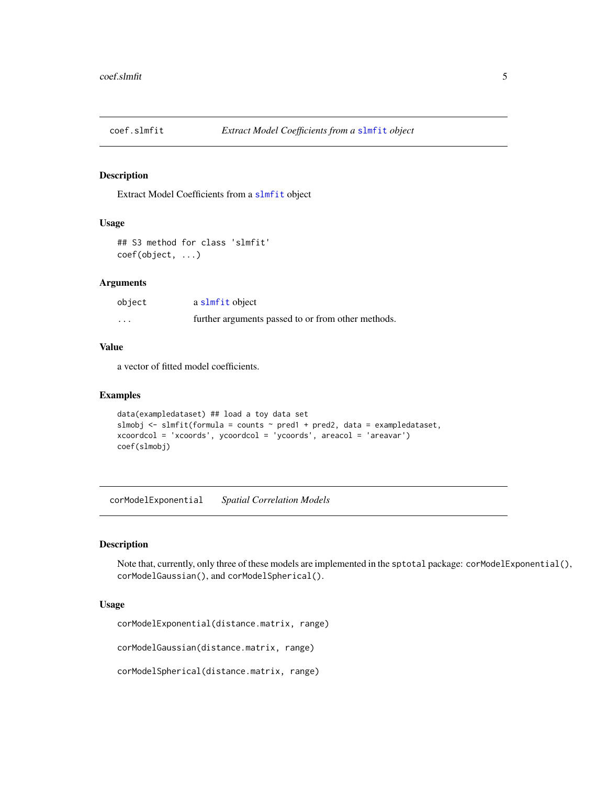<span id="page-4-0"></span>

Extract Model Coefficients from a [slmfit](#page-23-1) object

#### Usage

```
## S3 method for class 'slmfit'
coef(object, ...)
```
#### Arguments

| object            | a slmfit object                                    |
|-------------------|----------------------------------------------------|
| $\cdot\cdot\cdot$ | further arguments passed to or from other methods. |

#### Value

a vector of fitted model coefficients.

#### Examples

```
data(exampledataset) ## load a toy data set
slmobj \le slmfit(formula = counts \sim pred1 + pred2, data = exampledataset,
xcoordcol = 'xcoords', ycoordcol = 'ycoords', areacol = 'areavar')
coef(slmobj)
```
corModelExponential *Spatial Correlation Models*

#### Description

Note that, currently, only three of these models are implemented in the sptotal package: corModelExponential(), corModelGaussian(), and corModelSpherical().

#### Usage

corModelExponential(distance.matrix, range)

corModelGaussian(distance.matrix, range)

corModelSpherical(distance.matrix, range)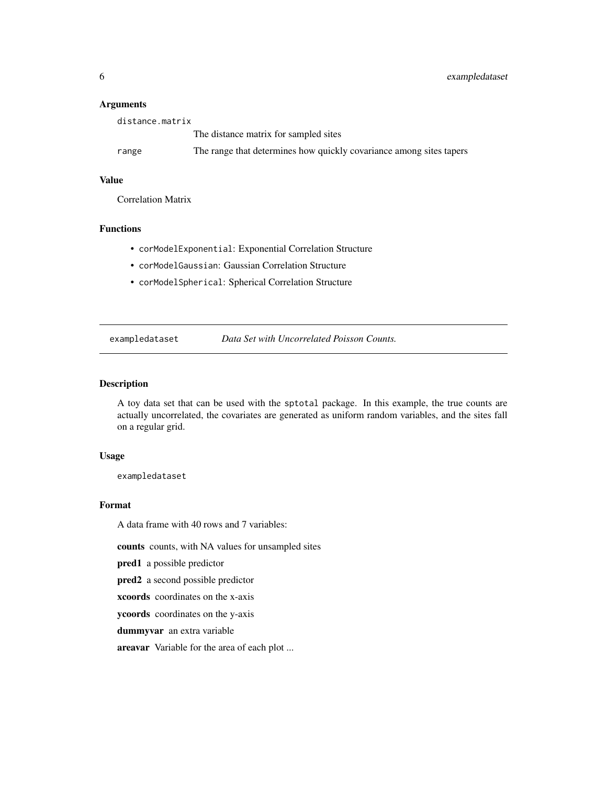#### Arguments

| distance.matrix |                                                                     |
|-----------------|---------------------------------------------------------------------|
|                 | The distance matrix for sampled sites                               |
| range           | The range that determines how quickly covariance among sites tapers |

#### Value

Correlation Matrix

#### Functions

- corModelExponential: Exponential Correlation Structure
- corModelGaussian: Gaussian Correlation Structure
- corModelSpherical: Spherical Correlation Structure

exampledataset *Data Set with Uncorrelated Poisson Counts.*

#### Description

A toy data set that can be used with the sptotal package. In this example, the true counts are actually uncorrelated, the covariates are generated as uniform random variables, and the sites fall on a regular grid.

#### Usage

exampledataset

#### Format

A data frame with 40 rows and 7 variables:

counts counts, with NA values for unsampled sites

pred1 a possible predictor

pred2 a second possible predictor

xcoords coordinates on the x-axis

ycoords coordinates on the y-axis

dummyvar an extra variable

areavar Variable for the area of each plot ...

<span id="page-5-0"></span>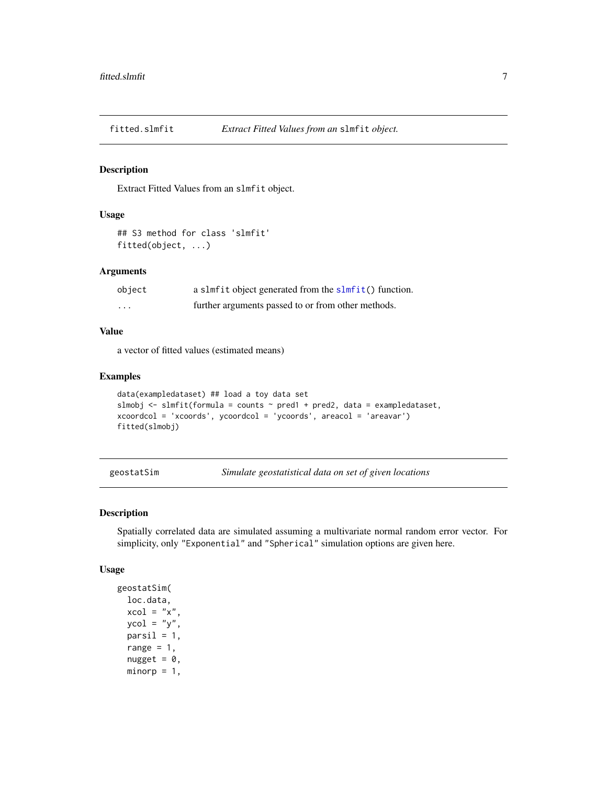<span id="page-6-0"></span>

Extract Fitted Values from an slmfit object.

#### Usage

```
## S3 method for class 'slmfit'
fitted(object, ...)
```
#### Arguments

| object | a slmfit object generated from the slmfit() function. |
|--------|-------------------------------------------------------|
| .      | further arguments passed to or from other methods.    |

#### Value

a vector of fitted values (estimated means)

#### Examples

```
data(exampledataset) ## load a toy data set
slmobj \le slmfit(formula = counts \sim pred1 + pred2, data = exampledataset,
xcoordcol = 'xcoords', ycoordcol = 'ycoords', areacol = 'areavar')
fitted(slmobj)
```
geostatSim *Simulate geostatistical data on set of given locations*

#### Description

Spatially correlated data are simulated assuming a multivariate normal random error vector. For simplicity, only "Exponential" and "Spherical" simulation options are given here.

#### Usage

```
geostatSim(
 loc.data,
  xcol = "x".ycol = "y",parsil = 1,
  range = 1,
  nugget = 0,
 minorp = 1,
```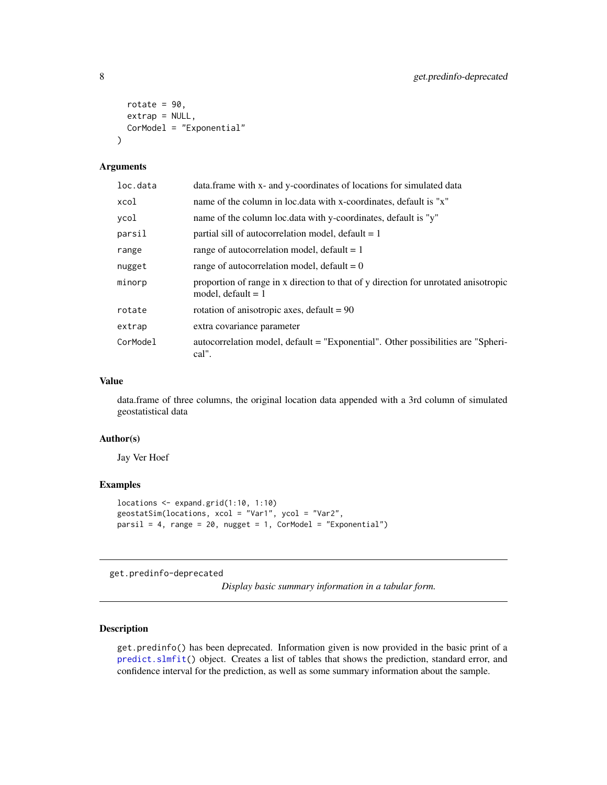```
rotate = 90,
 extrap = NULL,
  CorModel = "Exponential"
\lambda
```
#### Arguments

| loc.data | data.frame with x- and y-coordinates of locations for simulated data                                        |
|----------|-------------------------------------------------------------------------------------------------------------|
| xcol     | name of the column in loc. data with x-coordinates, default is "x"                                          |
| ycol     | name of the column loc.data with y-coordinates, default is "y"                                              |
| parsil   | partial sill of autocorrelation model, default $= 1$                                                        |
| range    | range of autocorrelation model, default $= 1$                                                               |
| nugget   | range of autocorrelation model, default $= 0$                                                               |
| minorp   | proportion of range in x direction to that of y direction for unrotated anisotropic<br>model, default $= 1$ |
| rotate   | rotation of anisotropic axes, $default = 90$                                                                |
| extrap   | extra covariance parameter                                                                                  |
| CorModel | autocorrelation model, default = "Exponential". Other possibilities are "Spheri-<br>cal".                   |

#### Value

data.frame of three columns, the original location data appended with a 3rd column of simulated geostatistical data

#### Author(s)

Jay Ver Hoef

#### Examples

```
locations <- expand.grid(1:10, 1:10)
geostatSim(locations, xcol = "Var1", ycol = "Var2",
parsil = 4, range = 20, nugget = 1, CorModel = "Exponential")
```
get.predinfo-deprecated

*Display basic summary information in a tabular form.*

#### <span id="page-7-1"></span>Description

get.predinfo() has been deprecated. Information given is now provided in the basic print of a [predict.slmfit\(](#page-16-1)) object. Creates a list of tables that shows the prediction, standard error, and confidence interval for the prediction, as well as some summary information about the sample.

<span id="page-7-0"></span>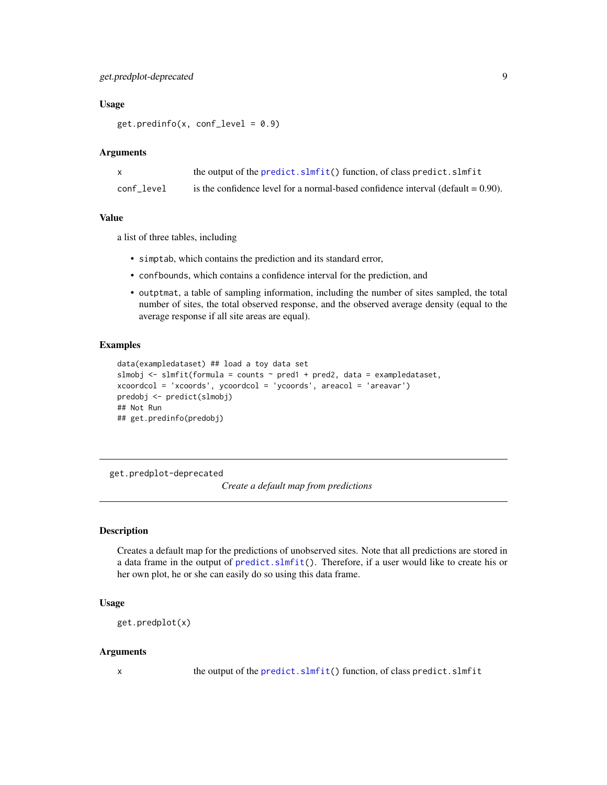#### <span id="page-8-0"></span>get.predplot-deprecated 9

#### Usage

 $get.predinfo(x, conf\_level = 0.9)$ 

#### Arguments

|            | the output of the predict.slmfit() function, of class predict.slmfit                |
|------------|-------------------------------------------------------------------------------------|
| conf level | is the confidence level for a normal-based confidence interval (default $= 0.90$ ). |

#### Value

a list of three tables, including

- simptab, which contains the prediction and its standard error,
- confbounds, which contains a confidence interval for the prediction, and
- outptmat, a table of sampling information, including the number of sites sampled, the total number of sites, the total observed response, and the observed average density (equal to the average response if all site areas are equal).

#### Examples

```
data(exampledataset) ## load a toy data set
slmobj <- slmfit(formula = counts \sim pred1 + pred2, data = exampledataset,
xcoordcol = 'xcoords', ycoordcol = 'ycoords', areacol = 'areavar')
predobj <- predict(slmobj)
## Not Run
## get.predinfo(predobj)
```
get.predplot-deprecated *Create a default map from predictions*

#### <span id="page-8-1"></span>Description

Creates a default map for the predictions of unobserved sites. Note that all predictions are stored in a data frame in the output of [predict.slmfit\(](#page-16-1)). Therefore, if a user would like to create his or her own plot, he or she can easily do so using this data frame.

#### Usage

```
get.predplot(x)
```
#### Arguments

x the output of the [predict.slmfit\(](#page-16-1)) function, of class predict.slmfit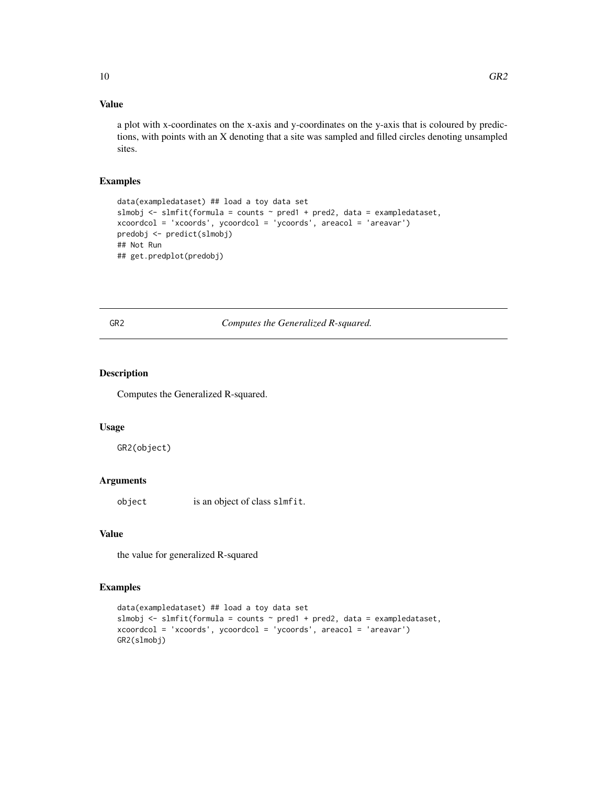#### <span id="page-9-0"></span>Value

a plot with x-coordinates on the x-axis and y-coordinates on the y-axis that is coloured by predictions, with points with an X denoting that a site was sampled and filled circles denoting unsampled sites.

#### Examples

```
data(exampledataset) ## load a toy data set
slmobj \le slmfit(formula = counts \sim pred1 + pred2, data = exampledataset,
xcoordcol = 'xcoords', ycoordcol = 'ycoords', areacol = 'areavar')
predobj <- predict(slmobj)
## Not Run
## get.predplot(predobj)
```
GR2 *Computes the Generalized R-squared.*

#### Description

Computes the Generalized R-squared.

#### Usage

GR2(object)

#### Arguments

object is an object of class slmfit.

#### Value

the value for generalized R-squared

```
data(exampledataset) ## load a toy data set
slmobj <- slmfit(formula = counts ~ pred1 + pred2, data = exampledataset,
xcoordcol = 'xcoords', ycoordcol = 'ycoords', areacol = 'areavar')
GR2(slmobj)
```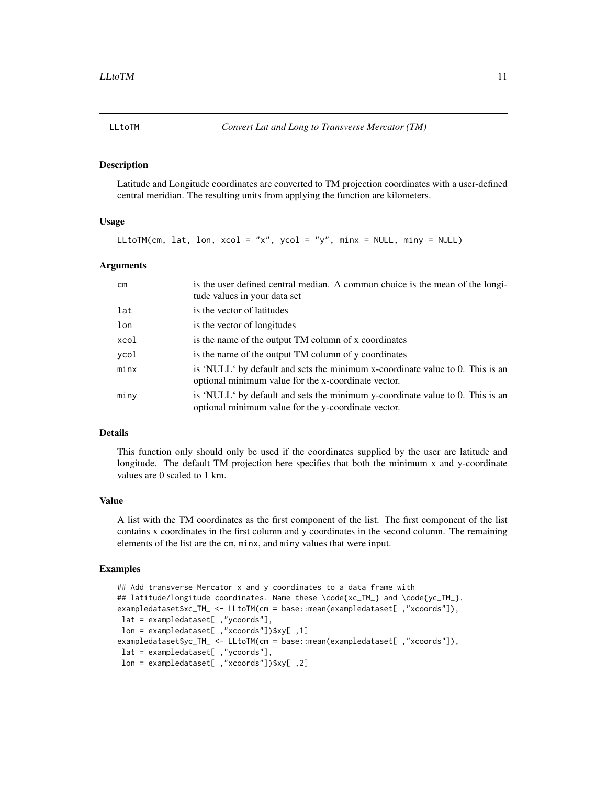<span id="page-10-0"></span>

Latitude and Longitude coordinates are converted to TM projection coordinates with a user-defined central meridian. The resulting units from applying the function are kilometers.

#### Usage

LLtoTM(cm, lat, lon,  $xcol = "x", ycol = "y", minx = NULL, miny = NULL)$ 

#### Arguments

| cm   | is the user defined central median. A common choice is the mean of the longi-<br>tude values in your data set                        |
|------|--------------------------------------------------------------------------------------------------------------------------------------|
| lat  | is the vector of latitudes                                                                                                           |
| lon  | is the vector of longitudes                                                                                                          |
| xcol | is the name of the output TM column of x coordinates                                                                                 |
| ycol | is the name of the output TM column of y coordinates                                                                                 |
| minx | is 'NULL' by default and sets the minimum x-coordinate value to 0. This is an<br>optional minimum value for the x-coordinate vector. |
| miny | is 'NULL' by default and sets the minimum y-coordinate value to 0. This is an<br>optional minimum value for the y-coordinate vector. |

#### Details

This function only should only be used if the coordinates supplied by the user are latitude and longitude. The default TM projection here specifies that both the minimum x and y-coordinate values are 0 scaled to 1 km.

#### Value

A list with the TM coordinates as the first component of the list. The first component of the list contains x coordinates in the first column and y coordinates in the second column. The remaining elements of the list are the cm, minx, and miny values that were input.

```
## Add transverse Mercator x and y coordinates to a data frame with
## latitude/longitude coordinates. Name these \code{xc_TM_} and \code{yc_TM_}.
exampledataset$xc_TM_ <- LLtoTM(cm = base::mean(exampledataset[ ,"xcoords"]),
lat = exampledataset[ ,"ycoords"],
lon = exampledataset[ ,"xcoords"])$xy[ ,1]
exampledataset$yc_TM_ <- LLtoTM(cm = base::mean(exampledataset[ ,"xcoords"]),
lat = exampledataset[ ,"ycoords"],
 lon = exampledataset[ ,"xcoords"])$xy[ ,2]
```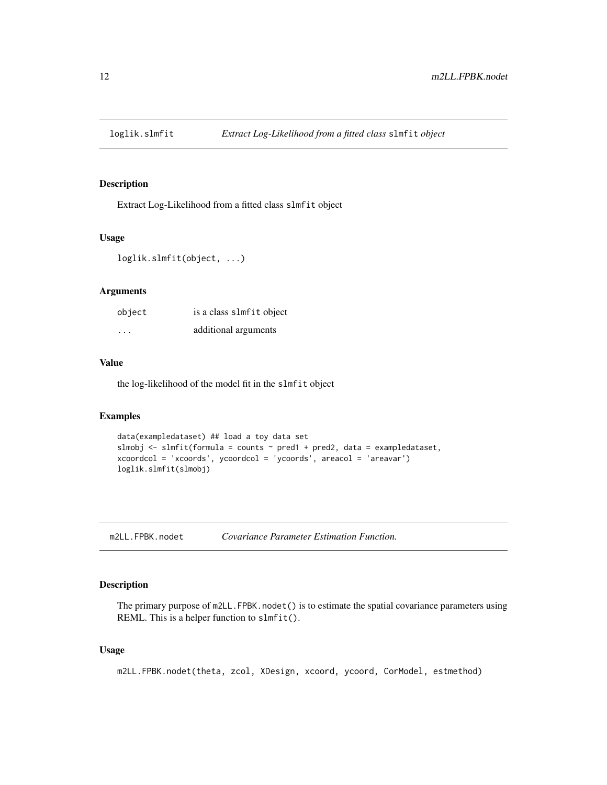<span id="page-11-0"></span>

Extract Log-Likelihood from a fitted class slmfit object

#### Usage

```
loglik.slmfit(object, ...)
```
#### Arguments

| object   | is a class slmfit object |
|----------|--------------------------|
| $\cdots$ | additional arguments     |

#### Value

the log-likelihood of the model fit in the slmfit object

#### Examples

```
data(exampledataset) ## load a toy data set
slmobj \le slmfit(formula = counts \sim pred1 + pred2, data = exampledataset,
xcoordcol = 'xcoords', ycoordcol = 'ycoords', areacol = 'areavar')
loglik.slmfit(slmobj)
```
m2LL.FPBK.nodet *Covariance Parameter Estimation Function.*

#### Description

The primary purpose of m2LL.FPBK.nodet() is to estimate the spatial covariance parameters using REML. This is a helper function to slmfit().

#### Usage

m2LL.FPBK.nodet(theta, zcol, XDesign, xcoord, ycoord, CorModel, estmethod)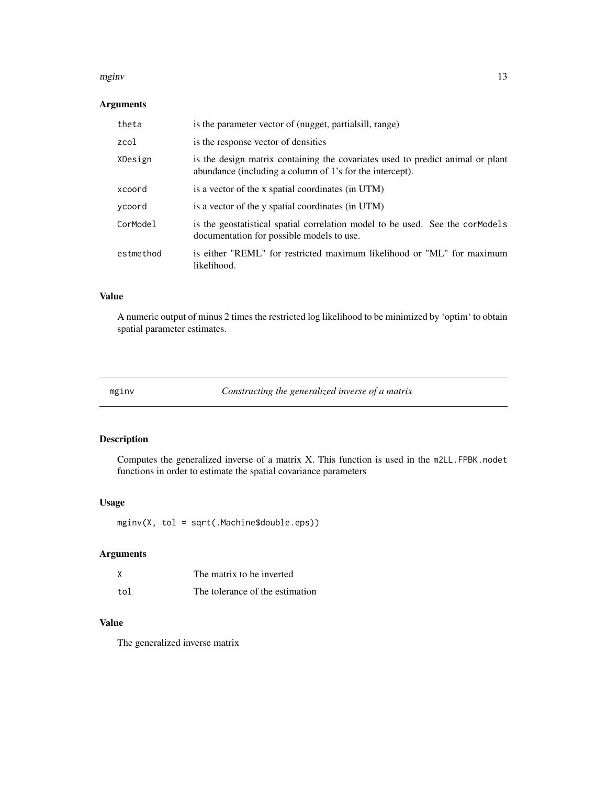#### <span id="page-12-0"></span>mginv and the contract of the contract of the contract of the contract of the contract of the contract of the contract of the contract of the contract of the contract of the contract of the contract of the contract of the

#### Arguments

| theta     | is the parameter vector of (nugget, partialsill, range)                                                                                    |
|-----------|--------------------------------------------------------------------------------------------------------------------------------------------|
| zcol      | is the response vector of densities                                                                                                        |
| XDesign   | is the design matrix containing the covariates used to predict animal or plant<br>abundance (including a column of 1's for the intercept). |
| xcoord    | is a vector of the x spatial coordinates (in UTM)                                                                                          |
| ycoord    | is a vector of the y spatial coordinates (in UTM)                                                                                          |
| CorModel  | is the geostatistical spatial correlation model to be used. See the corModels<br>documentation for possible models to use.                 |
| estmethod | is either "REML" for restricted maximum likelihood or "ML" for maximum<br>likelihood.                                                      |

#### Value

A numeric output of minus 2 times the restricted log likelihood to be minimized by 'optim' to obtain spatial parameter estimates.

mginv *Constructing the generalized inverse of a matrix*

#### Description

Computes the generalized inverse of a matrix X. This function is used in the m2LL.FPBK.nodet functions in order to estimate the spatial covariance parameters

#### Usage

mginv(X, tol = sqrt(.Machine\$double.eps))

#### Arguments

|     | The matrix to be inverted       |
|-----|---------------------------------|
| tol | The tolerance of the estimation |

#### Value

The generalized inverse matrix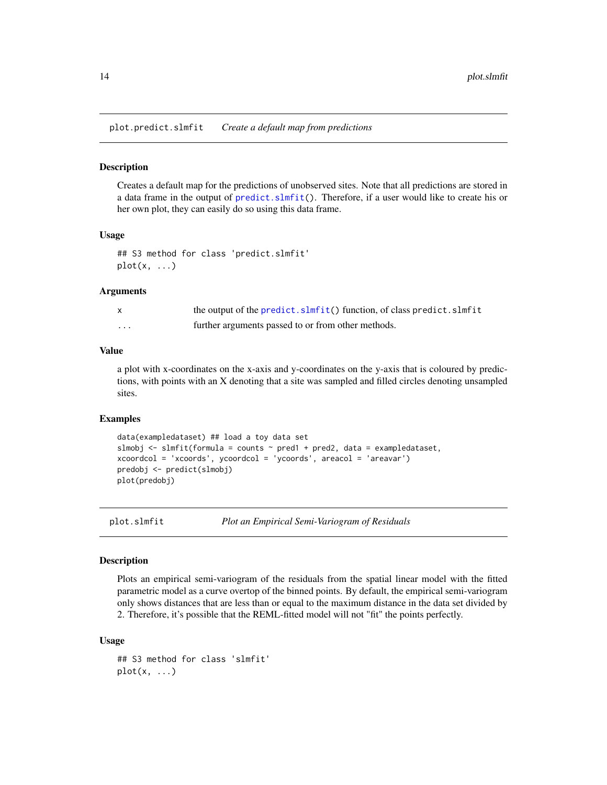<span id="page-13-0"></span>plot.predict.slmfit *Create a default map from predictions*

#### Description

Creates a default map for the predictions of unobserved sites. Note that all predictions are stored in a data frame in the output of [predict.slmfit\(](#page-16-1)). Therefore, if a user would like to create his or her own plot, they can easily do so using this data frame.

#### Usage

```
## S3 method for class 'predict.slmfit'
plot(x, \ldots)
```
#### Arguments

|          | the output of the predict.slmfit() function, of class predict.slmfit |
|----------|----------------------------------------------------------------------|
| $\cdots$ | further arguments passed to or from other methods.                   |

#### Value

a plot with x-coordinates on the x-axis and y-coordinates on the y-axis that is coloured by predictions, with points with an X denoting that a site was sampled and filled circles denoting unsampled sites.

#### Examples

```
data(exampledataset) ## load a toy data set
slmobj <- slmfit(formula = counts \sim pred1 + pred2, data = exampledataset,
xcoordcol = 'xcoords', ycoordcol = 'ycoords', areacol = 'areavar')
predobj <- predict(slmobj)
plot(predobj)
```
<span id="page-13-1"></span>

plot.slmfit *Plot an Empirical Semi-Variogram of Residuals*

#### Description

Plots an empirical semi-variogram of the residuals from the spatial linear model with the fitted parametric model as a curve overtop of the binned points. By default, the empirical semi-variogram only shows distances that are less than or equal to the maximum distance in the data set divided by 2. Therefore, it's possible that the REML-fitted model will not "fit" the points perfectly.

#### Usage

```
## S3 method for class 'slmfit'
plot(x, \ldots)
```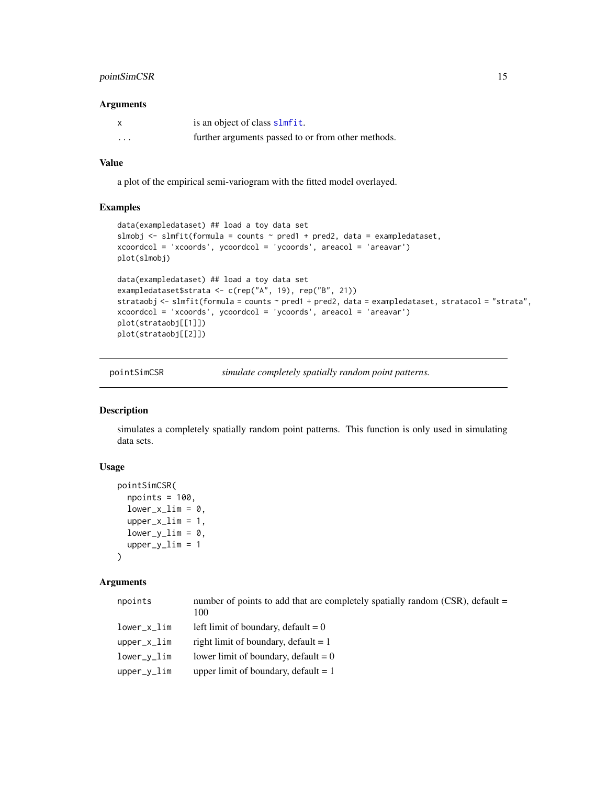#### <span id="page-14-0"></span>pointSimCSR 15

#### Arguments

|          | is an object of class slmfit.                      |
|----------|----------------------------------------------------|
| $\cdots$ | further arguments passed to or from other methods. |

#### Value

a plot of the empirical semi-variogram with the fitted model overlayed.

#### Examples

```
data(exampledataset) ## load a toy data set
slmobj <- slmfit(formula = counts ~ pred1 + pred2, data = exampledataset,
xcoordcol = 'xcoords', ycoordcol = 'ycoords', areacol = 'areavar')
plot(slmobj)
data(exampledataset) ## load a toy data set
exampledataset$strata <- c(rep("A", 19), rep("B", 21))
strataobj <- slmfit(formula = counts \sim pred1 + pred2, data = exampledataset, stratacol = "strata",
xcoordcol = 'xcoords', ycoordcol = 'ycoords', areacol = 'areavar')
plot(strataobj[[1]])
plot(strataobj[[2]])
```
pointSimCSR *simulate completely spatially random point patterns.*

#### Description

simulates a completely spatially random point patterns. This function is only used in simulating data sets.

#### Usage

```
pointSimCSR(
  npoints = 100,
  lower_x\_lim = 0,upper_xlim = 1,
  lower_y_{\text{lim}} = 0,
  upper_ylim = 1
)
```
#### Arguments

| npoints     | number of points to add that are completely spatially random (CSR), default $=$<br>100 |
|-------------|----------------------------------------------------------------------------------------|
| lower_x_lim | left limit of boundary, default $= 0$                                                  |
| upper_x_lim | right limit of boundary, default $= 1$                                                 |
| lower_y_lim | lower limit of boundary, default $= 0$                                                 |
| upper_y_lim | upper limit of boundary, default $= 1$                                                 |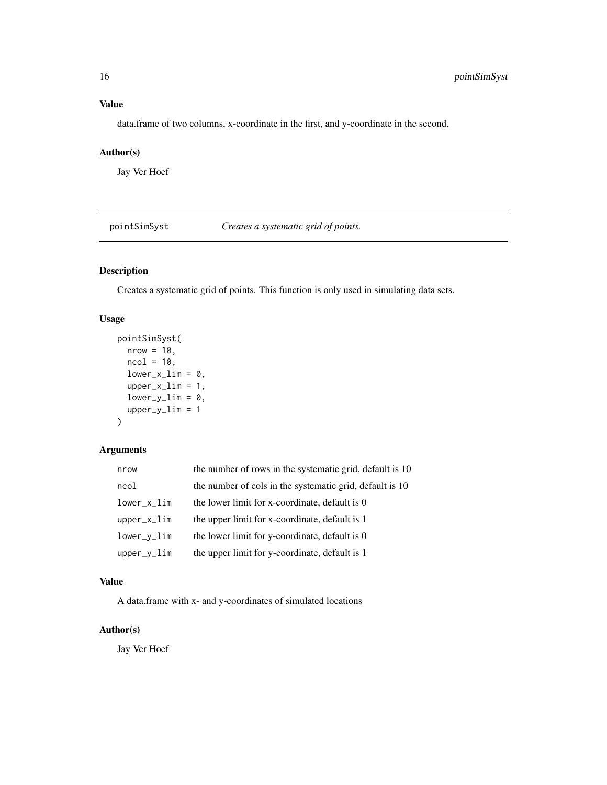<span id="page-15-0"></span>data.frame of two columns, x-coordinate in the first, and y-coordinate in the second.

#### Author(s)

Jay Ver Hoef

pointSimSyst *Creates a systematic grid of points.*

#### Description

Creates a systematic grid of points. This function is only used in simulating data sets.

#### Usage

```
pointSimSyst(
  nrow = 10,
 ncol = 10,
  lower_x\_lim = 0,upper_xlim = 1,
  lower_y_{\text{lim}} = 0,upper_ylim = 1
)
```
#### Arguments

| nrow           | the number of rows in the systematic grid, default is 10 |
|----------------|----------------------------------------------------------|
| ncol           | the number of cols in the systematic grid, default is 10 |
| $lower_x$ lim  | the lower limit for x-coordinate, default is 0           |
| $upper_x$ lim  | the upper limit for x-coordinate, default is 1           |
| $lower_v\_lim$ | the lower limit for y-coordinate, default is 0           |
| $upper_y$ lim  | the upper limit for y-coordinate, default is 1           |

#### Value

A data.frame with x- and y-coordinates of simulated locations

#### Author(s)

Jay Ver Hoef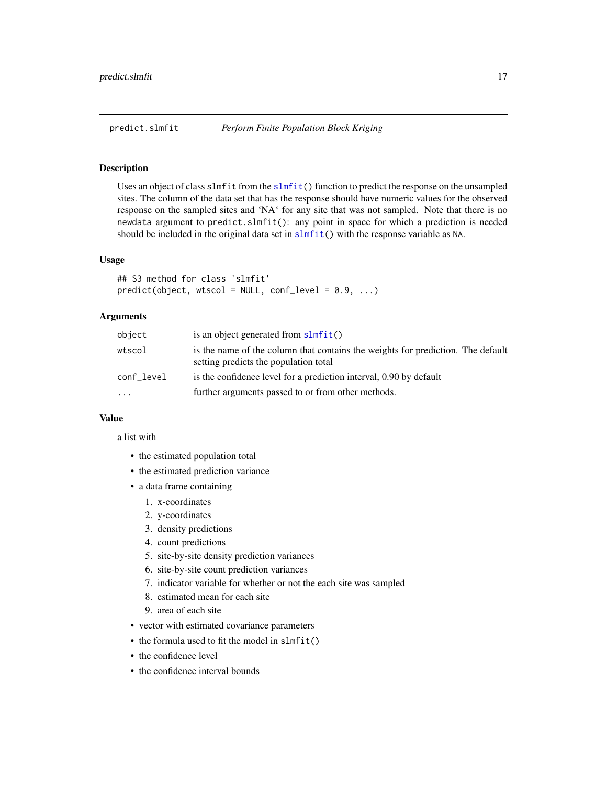<span id="page-16-1"></span><span id="page-16-0"></span>

Uses an object of class slmfit from the [slmfit\(](#page-23-1)) function to predict the response on the unsampled sites. The column of the data set that has the response should have numeric values for the observed response on the sampled sites and 'NA' for any site that was not sampled. Note that there is no newdata argument to predict.slmfit(): any point in space for which a prediction is needed should be included in the original data set in [slmfit\(](#page-23-1)) with the response variable as NA.

#### Usage

```
## S3 method for class 'slmfit'
predict(object, wtscol = NULL, conf\_level = 0.9, ...)
```
#### Arguments

| object     | is an object generated from slmfit()                                                                                     |
|------------|--------------------------------------------------------------------------------------------------------------------------|
| wtscol     | is the name of the column that contains the weights for prediction. The default<br>setting predicts the population total |
| conf_level | is the confidence level for a prediction interval, 0.90 by default                                                       |
| $\ddotsc$  | further arguments passed to or from other methods.                                                                       |

#### Value

a list with

- the estimated population total
- the estimated prediction variance
- a data frame containing
	- 1. x-coordinates
	- 2. y-coordinates
	- 3. density predictions
	- 4. count predictions
	- 5. site-by-site density prediction variances
	- 6. site-by-site count prediction variances
	- 7. indicator variable for whether or not the each site was sampled
	- 8. estimated mean for each site
	- 9. area of each site
- vector with estimated covariance parameters
- the formula used to fit the model in slmfit()
- the confidence level
- the confidence interval bounds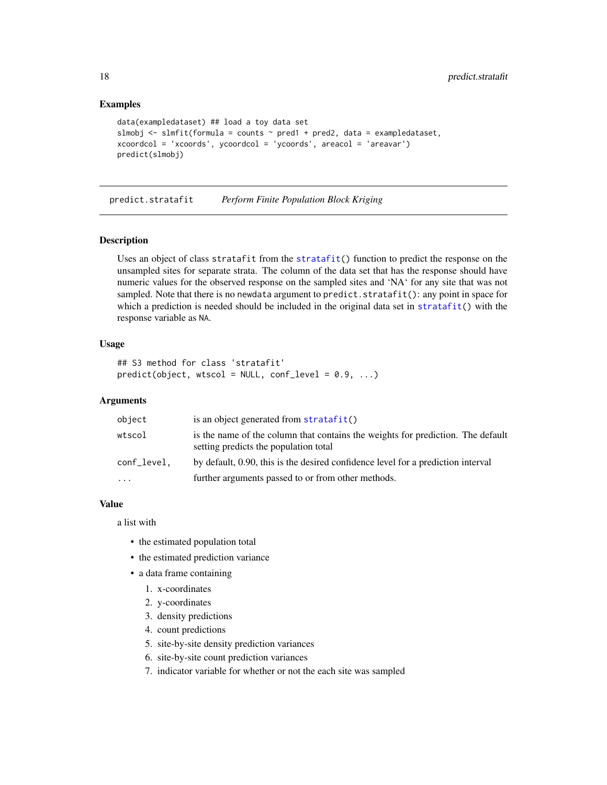#### Examples

```
data(exampledataset) ## load a toy data set
slmobj \le slmfit(formula = counts \sim pred1 + pred2, data = exampledataset,
xcoordcol = 'xcoords', ycoordcol = 'ycoords', areacol = 'areavar')
predict(slmobj)
```
<span id="page-17-1"></span>predict.stratafit *Perform Finite Population Block Kriging*

#### Description

Uses an object of class stratafit from the [stratafit\(](#page-25-1)) function to predict the response on the unsampled sites for separate strata. The column of the data set that has the response should have numeric values for the observed response on the sampled sites and 'NA' for any site that was not sampled. Note that there is no newdata argument to predict. stratafit(): any point in space for which a prediction is needed should be included in the original data set in [stratafit\(](#page-25-1)) with the response variable as NA.

#### Usage

```
## S3 method for class 'stratafit'
predict(object, wtscol = NULL, conf\_level = 0.9, ...)
```
#### Arguments

| object      | is an object generated from stratafit()                                                                                  |
|-------------|--------------------------------------------------------------------------------------------------------------------------|
| wtscol      | is the name of the column that contains the weights for prediction. The default<br>setting predicts the population total |
| conf_level. | by default, 0.90, this is the desired confidence level for a prediction interval                                         |
| $\cdots$    | further arguments passed to or from other methods.                                                                       |

#### Value

a list with

- the estimated population total
- the estimated prediction variance
- a data frame containing
	- 1. x-coordinates
	- 2. y-coordinates
	- 3. density predictions
	- 4. count predictions
	- 5. site-by-site density prediction variances
	- 6. site-by-site count prediction variances
	- 7. indicator variable for whether or not the each site was sampled

<span id="page-17-0"></span>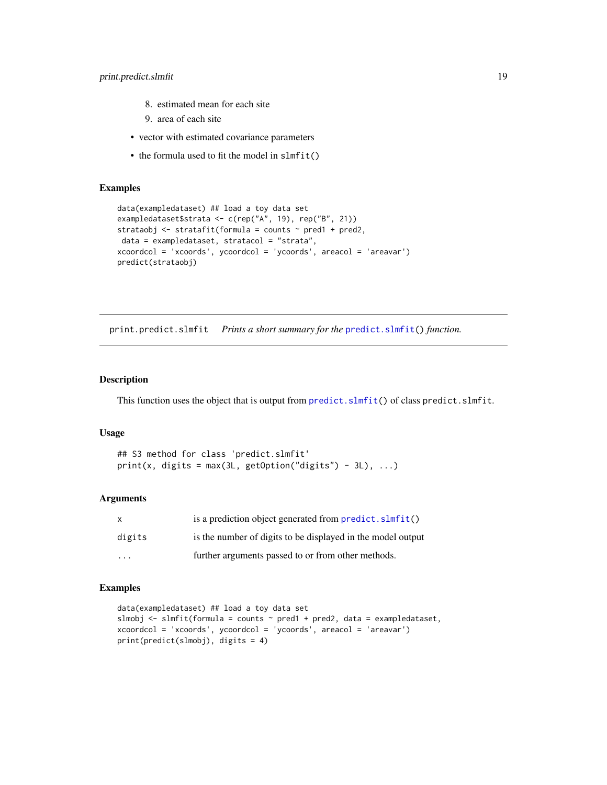- <span id="page-18-0"></span>8. estimated mean for each site
- 9. area of each site
- vector with estimated covariance parameters
- the formula used to fit the model in slmfit()

#### Examples

```
data(exampledataset) ## load a toy data set
exampledataset$strata <- c(rep("A", 19), rep("B", 21))
strataobj <- stratafit(formula = counts ~ pred1 + pred2,
data = exampledataset, stratacol = "strata",
xcoordcol = 'xcoords', ycoordcol = 'ycoords', areacol = 'areavar')
predict(strataobj)
```
print.predict.slmfit *Prints a short summary for the* [predict.slmfit\(](#page-16-1)) *function.*

#### Description

This function uses the object that is output from [predict.slmfit\(](#page-16-1)) of class predict.slmfit.

#### Usage

```
## S3 method for class 'predict.slmfit'
print(x, digits = max(3L, getOption("digits") - 3L), ...)
```
#### Arguments

|        | is a prediction object generated from predict. slmfit()     |
|--------|-------------------------------------------------------------|
| digits | is the number of digits to be displayed in the model output |
| .      | further arguments passed to or from other methods.          |

```
data(exampledataset) ## load a toy data set
slmobj <- slmfit(formula = counts ~ pred1 + pred2, data = exampledataset,
xcoordcol = 'xcoords', ycoordcol = 'ycoords', areacol = 'areavar')
print(predict(slmobj), digits = 4)
```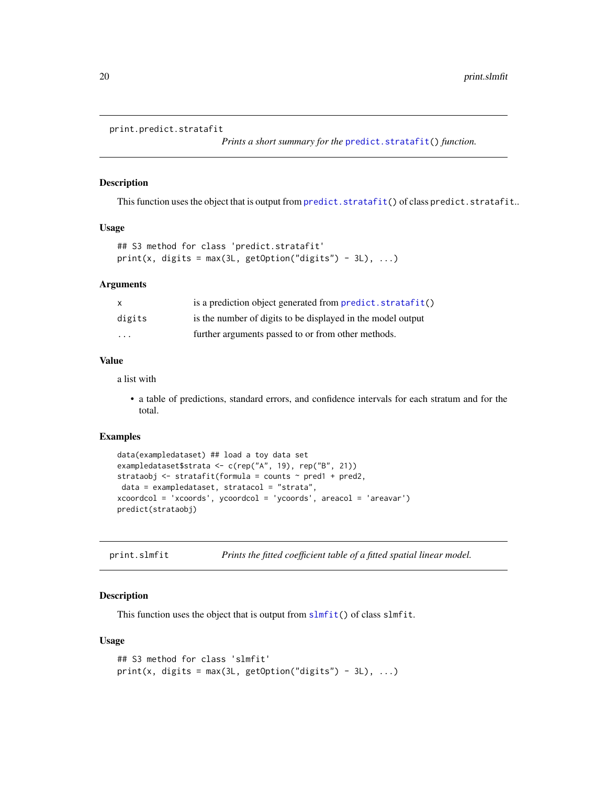```
print.predict.stratafit
```
*Prints a short summary for the* [predict.stratafit\(](#page-17-1)) *function.*

#### Description

This function uses the object that is output from [predict.stratafit\(](#page-17-1)) of class predict.stratafit..

#### Usage

```
## S3 method for class 'predict.stratafit'
print(x, digits = max(3L, getOption("digits") - 3L), ...)
```
#### Arguments

| $\mathsf{x}$            | is a prediction object generated from predict. stratafit()  |
|-------------------------|-------------------------------------------------------------|
| digits                  | is the number of digits to be displayed in the model output |
| $\cdot$ $\cdot$ $\cdot$ | further arguments passed to or from other methods.          |

#### Value

a list with

• a table of predictions, standard errors, and confidence intervals for each stratum and for the total.

#### Examples

```
data(exampledataset) ## load a toy data set
exampledataset$strata <- c(rep("A", 19), rep("B", 21))
strataobj <- stratafit(formula = counts ~ pred1 + pred2,
data = exampledataset, stratacol = "strata",
xcoordcol = 'xcoords', ycoordcol = 'ycoords', areacol = 'areavar')
predict(strataobj)
```
print.slmfit *Prints the fitted coefficient table of a fitted spatial linear model.*

#### **Description**

This function uses the object that is output from [slmfit\(](#page-23-1)) of class slmfit.

#### Usage

```
## S3 method for class 'slmfit'
print(x, \text{ digits} = max(3L, \text{ getOption("digits")} - 3L), ...)
```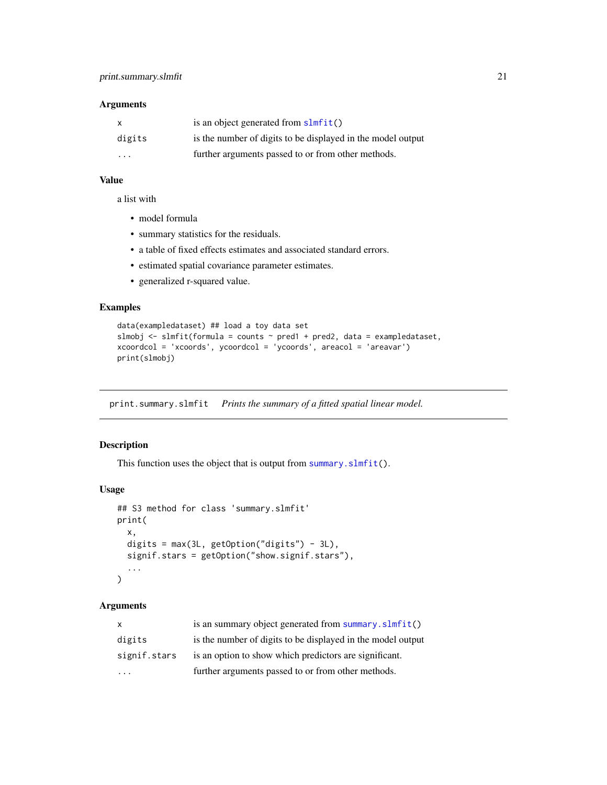#### <span id="page-20-0"></span>Arguments

| $\mathsf{x}$            | is an object generated from $slmfit()$                      |
|-------------------------|-------------------------------------------------------------|
| digits                  | is the number of digits to be displayed in the model output |
| $\cdot$ $\cdot$ $\cdot$ | further arguments passed to or from other methods.          |

#### Value

a list with

- model formula
- summary statistics for the residuals.
- a table of fixed effects estimates and associated standard errors.
- estimated spatial covariance parameter estimates.
- generalized r-squared value.

#### Examples

```
data(exampledataset) ## load a toy data set
slmobj <- slmfit(formula = counts ~ pred1 + pred2, data = exampledataset,
xcoordcol = 'xcoords', ycoordcol = 'ycoords', areacol = 'areavar')
print(slmobj)
```
print.summary.slmfit *Prints the summary of a fitted spatial linear model.*

#### Description

This function uses the object that is output from [summary.slmfit\(](#page-27-1)).

#### Usage

```
## S3 method for class 'summary.slmfit'
print(
  x,
  digits = max(3L, getOption("digits") - 3L),
  signif.stars = getOption("show.signif.stars"),
  ...
\mathcal{L}
```
#### Arguments

| $\mathsf{x}$ | is an summary object generated from summary. slmfit()       |
|--------------|-------------------------------------------------------------|
| digits       | is the number of digits to be displayed in the model output |
| signif.stars | is an option to show which predictors are significant.      |
|              | further arguments passed to or from other methods.          |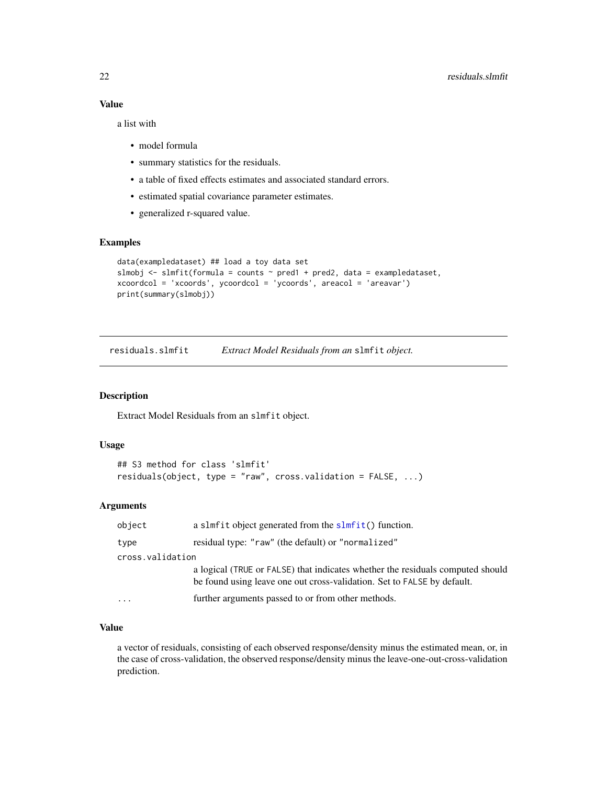<span id="page-21-0"></span>a list with

- model formula
- summary statistics for the residuals.
- a table of fixed effects estimates and associated standard errors.
- estimated spatial covariance parameter estimates.
- generalized r-squared value.

#### Examples

```
data(exampledataset) ## load a toy data set
slmobj \le slmfit(formula = counts \sim pred1 + pred2, data = exampledataset,
xcoordcol = 'xcoords', ycoordcol = 'ycoords', areacol = 'areavar')
print(summary(slmobj))
```
residuals.slmfit *Extract Model Residuals from an* slmfit *object.*

#### Description

Extract Model Residuals from an slmfit object.

#### Usage

```
## S3 method for class 'slmfit'
residuals(object, type = "raw", cross.validation = FALSE, ...)
```
#### Arguments

| object           | a slmf it object generated from the $slmfit()$ function.                                                                                                  |
|------------------|-----------------------------------------------------------------------------------------------------------------------------------------------------------|
| type             | residual type: "raw" (the default) or "normalized"                                                                                                        |
| cross.validation |                                                                                                                                                           |
|                  | a logical (TRUE or FALSE) that indicates whether the residuals computed should<br>be found using leave one out cross-validation. Set to FALSE by default. |
| $\ddotsc$        | further arguments passed to or from other methods.                                                                                                        |

#### Value

a vector of residuals, consisting of each observed response/density minus the estimated mean, or, in the case of cross-validation, the observed response/density minus the leave-one-out-cross-validation prediction.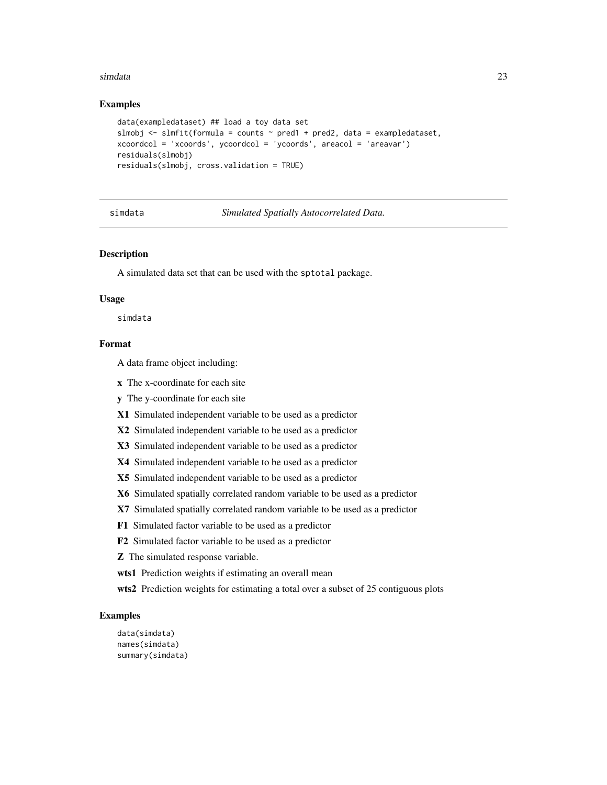#### <span id="page-22-0"></span>simdata 23

#### Examples

```
data(exampledataset) ## load a toy data set
slmobj \le slmfit(formula = counts \sim pred1 + pred2, data = exampledataset,
xcoordcol = 'xcoords', ycoordcol = 'ycoords', areacol = 'areavar')
residuals(slmobj)
residuals(slmobj, cross.validation = TRUE)
```
simdata *Simulated Spatially Autocorrelated Data.*

#### Description

A simulated data set that can be used with the sptotal package.

#### Usage

simdata

#### Format

A data frame object including:

x The x-coordinate for each site

y The y-coordinate for each site

X1 Simulated independent variable to be used as a predictor

X2 Simulated independent variable to be used as a predictor

X3 Simulated independent variable to be used as a predictor

X4 Simulated independent variable to be used as a predictor

X5 Simulated independent variable to be used as a predictor

X6 Simulated spatially correlated random variable to be used as a predictor

X7 Simulated spatially correlated random variable to be used as a predictor

F1 Simulated factor variable to be used as a predictor

F2 Simulated factor variable to be used as a predictor

Z The simulated response variable.

wts1 Prediction weights if estimating an overall mean

wts2 Prediction weights for estimating a total over a subset of 25 contiguous plots

```
data(simdata)
names(simdata)
summary(simdata)
```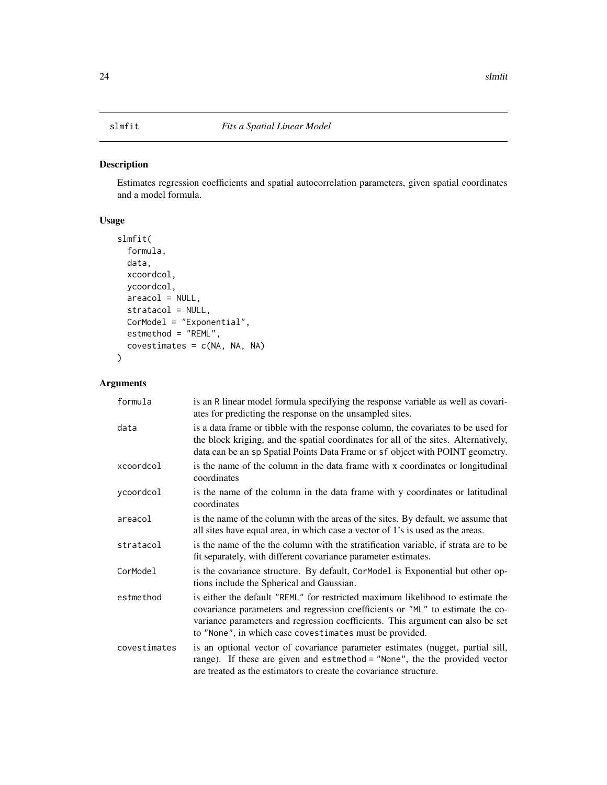<span id="page-23-1"></span><span id="page-23-0"></span>Estimates regression coefficients and spatial autocorrelation parameters, given spatial coordinates and a model formula.

#### Usage

```
slmfit(
  formula,
 data,
 xcoordcol,
 ycoordcol,
  areacol = NULL,
  stratacol = NULL,
 CorModel = "Exponential",
 estmethod = "REML",
  covestimates = c(NA, NA, NA)\mathcal{L}
```
### Arguments

| formula      | is an R linear model formula specifying the response variable as well as covari-<br>ates for predicting the response on the unsampled sites.                                                                                                                                                                 |
|--------------|--------------------------------------------------------------------------------------------------------------------------------------------------------------------------------------------------------------------------------------------------------------------------------------------------------------|
| data         | is a data frame or tibble with the response column, the covariates to be used for<br>the block kriging, and the spatial coordinates for all of the sites. Alternatively,<br>data can be an sp Spatial Points Data Frame or sf object with POINT geometry.                                                    |
| xcoordcol    | is the name of the column in the data frame with x coordinates or longitudinal<br>coordinates                                                                                                                                                                                                                |
| ycoordcol    | is the name of the column in the data frame with y coordinates or latitudinal<br>coordinates                                                                                                                                                                                                                 |
| areacol      | is the name of the column with the areas of the sites. By default, we assume that<br>all sites have equal area, in which case a vector of 1's is used as the areas.                                                                                                                                          |
| stratacol    | is the name of the the column with the stratification variable, if strata are to be<br>fit separately, with different covariance parameter estimates.                                                                                                                                                        |
| CorModel     | is the covariance structure. By default, Cormodel is Exponential but other op-<br>tions include the Spherical and Gaussian.                                                                                                                                                                                  |
| estmethod    | is either the default "REML" for restricted maximum likelihood to estimate the<br>covariance parameters and regression coefficients or "ML" to estimate the co-<br>variance parameters and regression coefficients. This argument can also be set<br>to "None", in which case covestimates must be provided. |
| covestimates | is an optional vector of covariance parameter estimates (nugget, partial sill,<br>range). If these are given and estmethod = "None", the the provided vector<br>are treated as the estimators to create the covariance structure.                                                                            |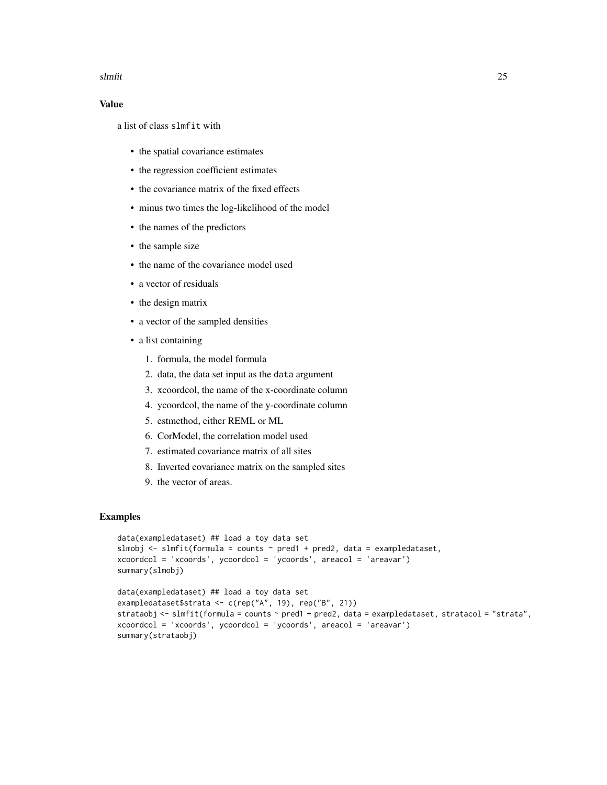#### slmfit 25

#### Value

a list of class slmfit with

- the spatial covariance estimates
- the regression coefficient estimates
- the covariance matrix of the fixed effects
- minus two times the log-likelihood of the model
- the names of the predictors
- the sample size
- the name of the covariance model used
- a vector of residuals
- the design matrix
- a vector of the sampled densities
- a list containing
	- 1. formula, the model formula
	- 2. data, the data set input as the data argument
	- 3. xcoordcol, the name of the x-coordinate column
	- 4. ycoordcol, the name of the y-coordinate column
	- 5. estmethod, either REML or ML
	- 6. CorModel, the correlation model used
	- 7. estimated covariance matrix of all sites
	- 8. Inverted covariance matrix on the sampled sites
	- 9. the vector of areas.

```
data(exampledataset) ## load a toy data set
slmobj \le slmfit(formula = counts \sim pred1 + pred2, data = exampledataset,
xcoordcol = 'xcoords', ycoordcol = 'ycoords', areacol = 'areavar')
summary(slmobj)
data(exampledataset) ## load a toy data set
```

```
exampledataset$strata <- c(rep("A", 19), rep("B", 21))
strataobj \le slmfit(formula = counts \sim pred1 + pred2, data = exampledataset, stratacol = "strata",
xcoordcol = 'xcoords', ycoordcol = 'ycoords', areacol = 'areavar')
summary(strataobj)
```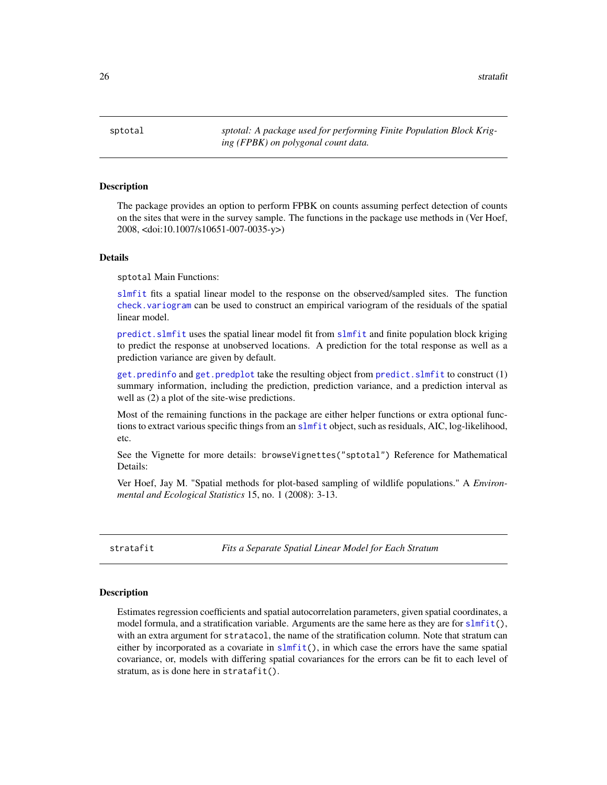<span id="page-25-0"></span> $26$  stratafit

sptotal *sptotal: A package used for performing Finite Population Block Kriging (FPBK) on polygonal count data.*

#### **Description**

The package provides an option to perform FPBK on counts assuming perfect detection of counts on the sites that were in the survey sample. The functions in the package use methods in (Ver Hoef, 2008, <doi:10.1007/s10651-007-0035-y>)

#### Details

sptotal Main Functions:

[slmfit](#page-23-1) fits a spatial linear model to the response on the observed/sampled sites. The function [check.variogram](#page-3-1) can be used to construct an empirical variogram of the residuals of the spatial linear model.

[predict.slmfit](#page-16-1) uses the spatial linear model fit from [slmfit](#page-23-1) and finite population block kriging to predict the response at unobserved locations. A prediction for the total response as well as a prediction variance are given by default.

[get.predinfo](#page-7-1) and [get.predplot](#page-8-1) take the resulting object from [predict.slmfit](#page-16-1) to construct (1) summary information, including the prediction, prediction variance, and a prediction interval as well as (2) a plot of the site-wise predictions.

Most of the remaining functions in the package are either helper functions or extra optional functions to extract various specific things from an [slmfit](#page-23-1) object, such as residuals, AIC, log-likelihood, etc.

See the Vignette for more details: browseVignettes("sptotal") Reference for Mathematical Details:

Ver Hoef, Jay M. "Spatial methods for plot-based sampling of wildlife populations." A *Environmental and Ecological Statistics* 15, no. 1 (2008): 3-13.

<span id="page-25-1"></span>stratafit *Fits a Separate Spatial Linear Model for Each Stratum*

#### Description

Estimates regression coefficients and spatial autocorrelation parameters, given spatial coordinates, a model formula, and a stratification variable. Arguments are the same here as they are for  $slmfit($ ), with an extra argument for stratacol, the name of the stratification column. Note that stratum can either by incorporated as a covariate in [slmfit\(](#page-23-1)), in which case the errors have the same spatial covariance, or, models with differing spatial covariances for the errors can be fit to each level of stratum, as is done here in stratafit().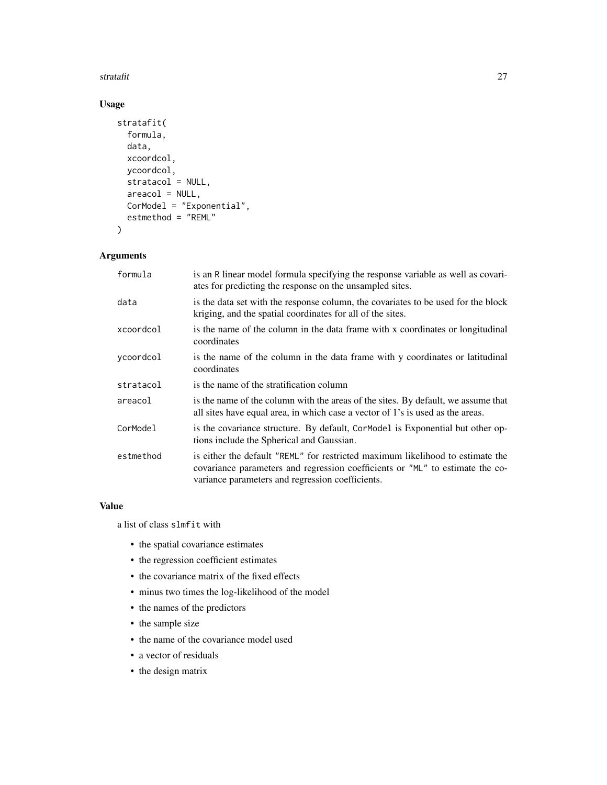#### stratafit 27

### Usage

```
stratafit(
  formula,
  data,
  xcoordcol,
  ycoordcol,
  stratacol = NULL,
  areacol = NULL,
  CorModel = "Exponential",
  estmethod = "REML"
\mathcal{L}
```
#### Arguments

| formula   | is an R linear model formula specifying the response variable as well as covari-<br>ates for predicting the response on the unsampled sites.                                                                        |
|-----------|---------------------------------------------------------------------------------------------------------------------------------------------------------------------------------------------------------------------|
| data      | is the data set with the response column, the covariates to be used for the block<br>kriging, and the spatial coordinates for all of the sites.                                                                     |
| xcoordcol | is the name of the column in the data frame with x coordinates or longitudinal<br>coordinates                                                                                                                       |
| ycoordcol | is the name of the column in the data frame with y coordinates or latitudinal<br>coordinates                                                                                                                        |
| stratacol | is the name of the stratification column                                                                                                                                                                            |
| areacol   | is the name of the column with the areas of the sites. By default, we assume that<br>all sites have equal area, in which case a vector of 1's is used as the areas.                                                 |
| CorModel  | is the covariance structure. By default, Cormodel is Exponential but other op-<br>tions include the Spherical and Gaussian.                                                                                         |
| estmethod | is either the default "REML" for restricted maximum likelihood to estimate the<br>covariance parameters and regression coefficients or "ML" to estimate the co-<br>variance parameters and regression coefficients. |

#### Value

a list of class slmfit with

- the spatial covariance estimates
- the regression coefficient estimates
- the covariance matrix of the fixed effects
- minus two times the log-likelihood of the model
- the names of the predictors
- the sample size
- the name of the covariance model used
- a vector of residuals
- the design matrix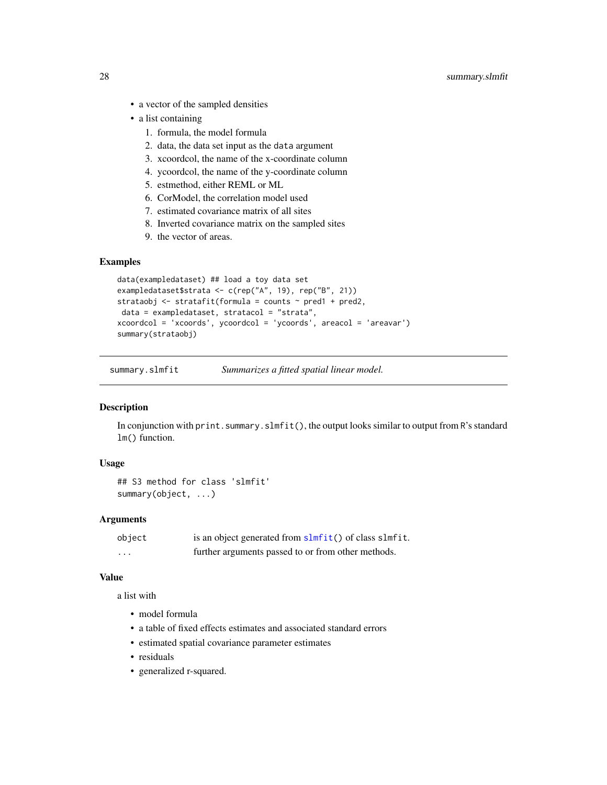- <span id="page-27-0"></span>• a vector of the sampled densities
- a list containing
	- 1. formula, the model formula
	- 2. data, the data set input as the data argument
	- 3. xcoordcol, the name of the x-coordinate column
	- 4. ycoordcol, the name of the y-coordinate column
	- 5. estmethod, either REML or ML
	- 6. CorModel, the correlation model used
	- 7. estimated covariance matrix of all sites
	- 8. Inverted covariance matrix on the sampled sites
	- 9. the vector of areas.

#### Examples

```
data(exampledataset) ## load a toy data set
exampledataset$strata <- c(rep("A", 19), rep("B", 21))
strataobj \le stratafit(formula = counts \sim pred1 + pred2,
data = exampledataset, stratacol = "strata",
xcoordcol = 'xcoords', ycoordcol = 'ycoords', areacol = 'areavar')
summary(strataobj)
```
<span id="page-27-1"></span>summary.slmfit *Summarizes a fitted spatial linear model.*

#### Description

In conjunction with print. summary. slmfit(), the output looks similar to output from R's standard lm() function.

#### Usage

```
## S3 method for class 'slmfit'
summary(object, ...)
```
#### Arguments

| object  | is an object generated from slmfit() of class slmfit. |
|---------|-------------------------------------------------------|
| $\cdot$ | further arguments passed to or from other methods.    |

#### Value

a list with

- model formula
- a table of fixed effects estimates and associated standard errors
- estimated spatial covariance parameter estimates
- residuals
- generalized r-squared.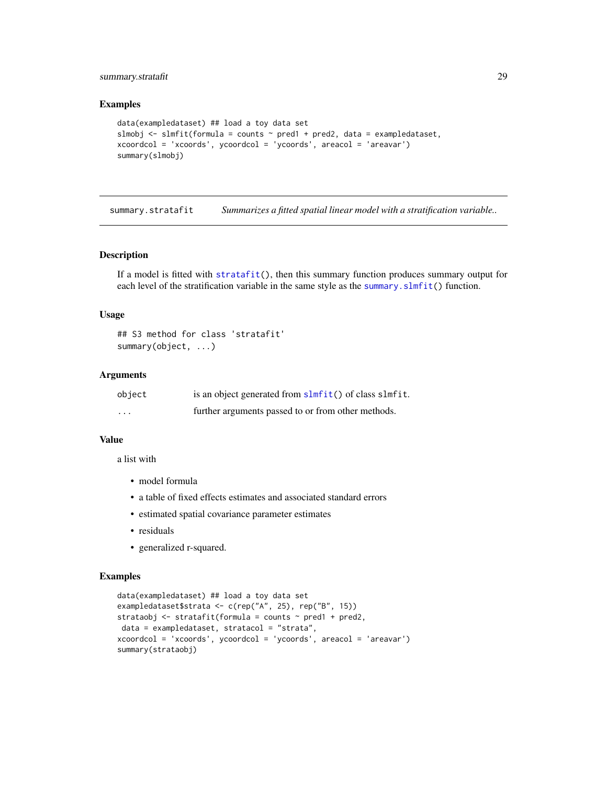#### <span id="page-28-0"></span>summary.stratafit 29

#### Examples

```
data(exampledataset) ## load a toy data set
slmobj \leq slmfit(formula = counts \sim pred1 + pred2, data = exampledataset,
xcoordcol = 'xcoords', ycoordcol = 'ycoords', areacol = 'areavar')
summary(slmobj)
```
summary.stratafit *Summarizes a fitted spatial linear model with a stratification variable..*

#### Description

If a model is fitted with [stratafit\(](#page-25-1)), then this summary function produces summary output for each level of the stratification variable in the same style as the summary. slmfit() function.

#### Usage

```
## S3 method for class 'stratafit'
summary(object, ...)
```
#### Arguments

| object   | is an object generated from slmfit() of class slmfit. |
|----------|-------------------------------------------------------|
| $\cdots$ | further arguments passed to or from other methods.    |

#### Value

a list with

- model formula
- a table of fixed effects estimates and associated standard errors
- estimated spatial covariance parameter estimates
- residuals
- generalized r-squared.

```
data(exampledataset) ## load a toy data set
exampledataset$strata <- c(rep("A", 25), rep("B", 15))
strataobj <- stratafit(formula = counts \sim pred1 + pred2,
data = exampledataset, stratacol = "strata",
xcoordcol = 'xcoords', ycoordcol = 'ycoords', areacol = 'areavar')
summary(strataobj)
```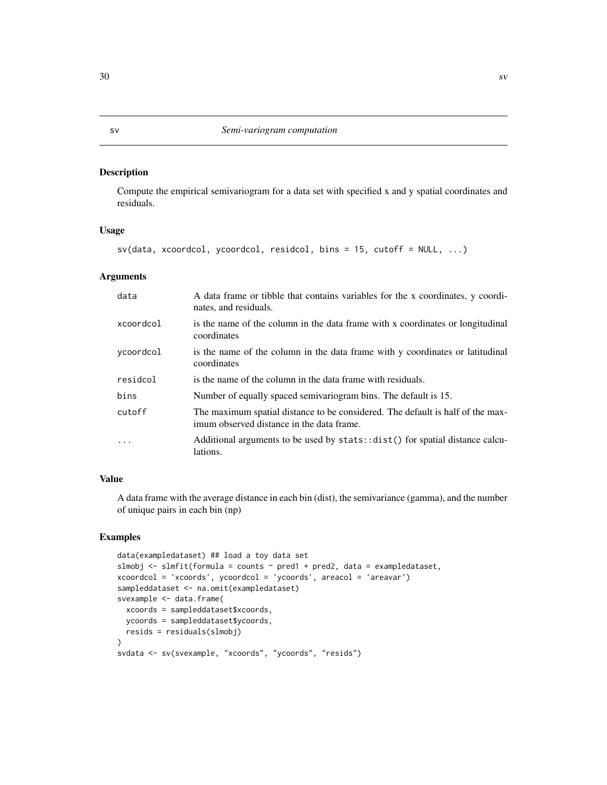<span id="page-29-0"></span>Compute the empirical semivariogram for a data set with specified x and y spatial coordinates and residuals.

#### Usage

```
sv(data, xcoordcol, ycoordcol, residcol, bins = 15, cutoff = NULL, ...)
```
#### Arguments

| data      | A data frame or tibble that contains variables for the x coordinates, y coordi-<br>nates, and residuals.                    |
|-----------|-----------------------------------------------------------------------------------------------------------------------------|
| xcoordcol | is the name of the column in the data frame with x coordinates or longitudinal<br>coordinates                               |
| ycoordcol | is the name of the column in the data frame with y coordinates or latitudinal<br>coordinates                                |
| residcol  | is the name of the column in the data frame with residuals.                                                                 |
| bins      | Number of equally spaced semivariogram bins. The default is 15.                                                             |
| cutoff    | The maximum spatial distance to be considered. The default is half of the max-<br>imum observed distance in the data frame. |
| .         | Additional arguments to be used by stats: : dist() for spatial distance calcu-<br>lations.                                  |

#### Value

A data frame with the average distance in each bin (dist), the semivariance (gamma), and the number of unique pairs in each bin (np)

```
data(exampledataset) ## load a toy data set
slmobj \le slmfit(formula = counts \sim pred1 + pred2, data = exampledataset,
xcoordcol = 'xcoords', ycoordcol = 'ycoords', areacol = 'areavar')
sampleddataset <- na.omit(exampledataset)
svexample <- data.frame(
 xcoords = sampleddataset$xcoords,
 ycoords = sampleddataset$ycoords,
 resids = residuals(slmobj)
\mathcal{L}svdata <- sv(svexample, "xcoords", "ycoords", "resids")
```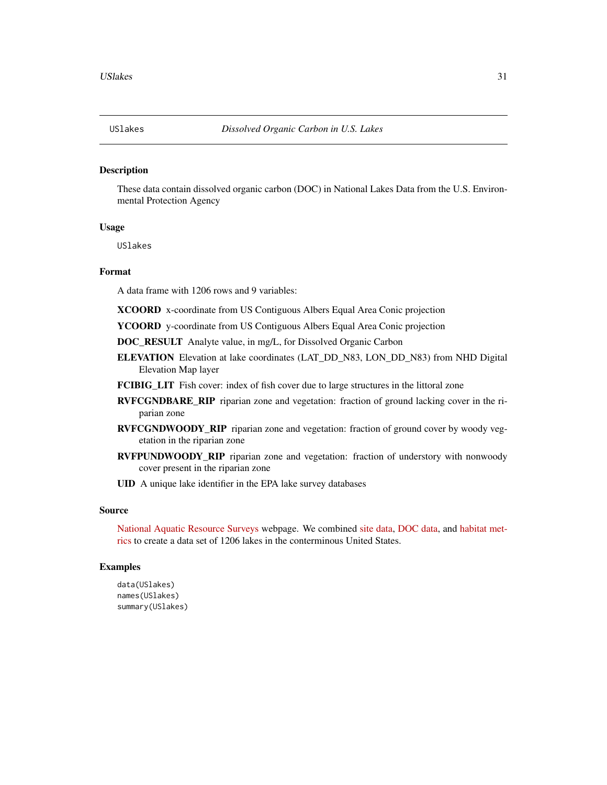<span id="page-30-0"></span>

These data contain dissolved organic carbon (DOC) in National Lakes Data from the U.S. Environmental Protection Agency

#### Usage

USlakes

#### Format

A data frame with 1206 rows and 9 variables:

XCOORD x-coordinate from US Contiguous Albers Equal Area Conic projection

YCOORD y-coordinate from US Contiguous Albers Equal Area Conic projection

DOC\_RESULT Analyte value, in mg/L, for Dissolved Organic Carbon

- ELEVATION Elevation at lake coordinates (LAT\_DD\_N83, LON\_DD\_N83) from NHD Digital Elevation Map layer
- FCIBIG\_LIT Fish cover: index of fish cover due to large structures in the littoral zone
- RVFCGNDBARE\_RIP riparian zone and vegetation: fraction of ground lacking cover in the riparian zone
- RVFCGNDWOODY\_RIP riparian zone and vegetation: fraction of ground cover by woody vegetation in the riparian zone
- RVFPUNDWOODY\_RIP riparian zone and vegetation: fraction of understory with nonwoody cover present in the riparian zone
- UID A unique lake identifier in the EPA lake survey databases

#### Source

[National Aquatic Resource Surveys](https://www.epa.gov/national-aquatic-resource-surveys/data-national-aquatic-resource-surveys) webpage. We combined [site data,](https://www.epa.gov/sites/production/files/2016-12/nla2012_wide_siteinfo_08232016.csv) [DOC data,](https://www.epa.gov/sites/production/files/2016-12/nla2012_waterchem_wide.csv) and [habitat met](https://www.epa.gov/sites/production/files/2016-12/nla2012_wide_phabmet_10202016.csv)[rics](https://www.epa.gov/sites/production/files/2016-12/nla2012_wide_phabmet_10202016.csv) to create a data set of 1206 lakes in the conterminous United States.

```
data(USlakes)
names(USlakes)
summary(USlakes)
```